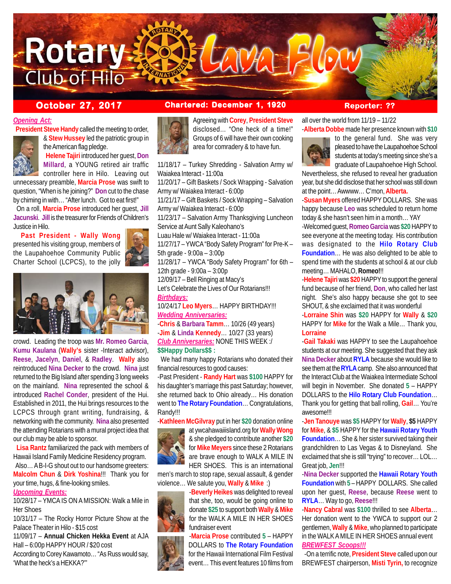

### *Opening Act:*

**President Steve Handy** called the meeting to order,



& **Stew Hussey** led the patriotic group in the American flag pledge. **Helene Tajiri** introduced her guest, **Don**

**Millard**, a YOUNG retired air traffic controller here in Hilo. Leaving out unnecessary preamble, **Marcia Prose** was swift to

question, "When is he joining?" **Don** cut to the chase by chiming in with… "After lunch. Got to eat first!"

 On a roll, **Marcia Prose** introduced her guest, **Jill Jacunski**. **Jill** is the treasurer for Friends of Children's Justice in Hilo.

 **Past President - Wally Wong** presented his visiting group, members of the Laupahoehoe Community Public Charter School (LCPCS), to the jolly



crowd. Leading the troop was **Mr. Romeo Garcia**, **Kumu Kaulana** (**Wally's** sister -Interact advisor), **Reese**, **Jacelyn**, **Daniel**, & **Radley**. **Wally** also reintroduced **Nina Decker** to the crowd. **Nina** just returned to the Big Island after spending 3 long weeks on the mainland. **Nina** represented the school & introduced **Rachel Conder**, president of the Hui. Established in 2011, the Hui brings resources to the LCPCS through grant writing, fundraising, & networking with the community. **Nina** also presented the attending Rotarians with a mural project idea that our club may be able to sponsor.

 **Lisa Rantz** familiarized the pack with members of Hawaii Island Family Medicine Residency program.

 Also… A B-I-G shout out to our handsome greeters: **Malcolm Chun** & **Dirk Yoshina**!!! Thank you for your time, hugs, & fine-looking smiles.

#### *Upcoming Events:*

10/28/17 – YMCA IS ON A MISSION: Walk a Mile in Her Shoes

10/31/17 – The Rocky Horror Picture Show at the Palace Theater in Hilo - \$15 cost

11/09/17 – **Annual Chicken Hekka Event** at AJA Hall – 6:00p HAPPY HOUR / \$20 cost

According to Corey Kawamoto… "As Russ would say, 'What the heck's a HEKKA?'"

## **October 27, 2017 Chartered: December 1, 1920 Reporter: ??**



Agreeing with **Corey**, **President Steve** disclosed… "One heck of a time!" Groups of 6 will have their own cooking area for comradery & to have fun.

11/18/17 – Turkey Shredding - Salvation Army w/ Waiakea Interact - 11:00a

11/20/17 – Gift Baskets / Sock Wrapping - Salvation Army w/ Waiakea Interact - 6:00p

11/21/17 – Gift Baskets / Sock Wrapping – Salvation Army w/ Waiakea Interact - 6:00p 11/23/17 – Salvation Army Thanksgiving Luncheon

Service at Aunt Sally Kaleohano's

Luau Hale w/ Waiakea Interact - 11:00a 11/27/17 – YWCA "Body Safety Program" for Pre-K – 5th grade - 9:00a – 3:00p

11/28/17 – YWCA "Body Safety Program" for 6th – 12th grade - 9:00a – 3:00p 12/09/17 – Bell Ringing at Macy's

Let's Celebrate the Lives of Our Rotarians!!! *Birthdays:*

10/24/17 **Leo Myers**… HAPPY BIRTHDAY!!! *Wedding Anniversaries:*

-**Chris** & **Barbara Tamm**… 10/26 (49 years) -**Jim** & **Linda Kennedy**… 10/27 (33 years) *Club Anniversaries:* NONE THIS WEEK :/ **\$\$Happy Dollars\$\$ :**

 We had many happy Rotarians who donated their financial resources to good causes:

-Past President - **Randy Hart** was **\$100** HAPPY for his daughter's marriage this past Saturday; however, she returned back to Ohio already… His donation went to **The Rotary Foundation**… Congratulations, Randy!!!

-**Kathleen McGilvray** put in her **\$20** donation online

at ywcahawaiiisland.org for **Wally Wong** & she pledged to contribute another **\$20** for **Mike Meyers** since these 2 Rotarians are brave enough to WALK A MILE IN HER SHOES. This is an international

men's march to stop rape, sexual assault, & gender violence… We salute you, **Wally** & **Mike** :)

> -**Beverly Heikes** was delighted to reveal that she, too, would be going online to donate **\$25** to support both **Wally** & **Mike** for the WALK A MILE IN HER SHOES fundraiser event

-**Marcia Prose** contributed **5** – HAPPY DOLLARS to **The Rotary Foundation** for the Hawaii International Film Festival event… This event features 10 films from

all over the world from 11/19 – 11/22 -**Alberta Dobbe** made her presence known with **\$10**



to the general fund. She was very pleased to have the Laupahoehoe School students at today's meeting since she's a graduate of Laupahoehoe High School.

Nevertheless, she refused to reveal her graduation year, but she did disclose that her school was still down at the point… Awwww… C'mon, **Alberta.**

-**Susan Myers** offered HAPPY DOLLARS. She was happy because **Leo** was scheduled to return home today & she hasn't seen him in a month… YAY

-Welcomed guest, **Romeo Garcia** was **\$20** HAPPY to see everyone at the meeting today. His contribution was designated to the **Hilo Rotary Club Foundation**… He was also delighted to be able to spend time with the students at school & at our club meeting… MAHALO, **Romeo!**!!

-**Helene Tajiri** was **\$20** HAPPY to support the general fund because of her friend, **Don**, who called her last night. She's also happy because she got to see SHOUT, & she exclaimed that it was wonderful

-**Lorraine Shin** was **\$20** HAPPY for **Wally** & **\$20** HAPPY for **Mike** for the Walk a Mile… Thank you, **Lorraine**

-**Gail Takaki** was HAPPY to see the Laupahoehoe students at our meeting. She suggested that they ask **Nina Decker** about **RYLA** because she would like to see them at the **RYLA** camp. She also announced that the Interact Club at the Waiakea Intermediate School will begin in November. She donated **5** – HAPPY DOLLARS to the **Hilo Rotary Club Foundation**… Thank you for getting that ball rolling, **Gail**… You're awesome!!!

-**Jen Tanouye** was **\$5** HAPPY for **Wally**, **\$5** HAPPY for **Mike**, & **\$5** HAPPY for the **Hawaii Rotary Youth Foundation**… She & her sister survived taking their grandchildren to Las Vegas & to Disneyland. She exclaimed that she is still "trying" to recover… LOL… Great job, **Jen**!!!

-**Nina Decker** supported the **Hawaii Rotary Youth Foundation** with **5** – HAPPY DOLLARS. She called upon her guest, **Reese**, because **Reese** went to **RYLA**… Way to go, **Reese**!!!

-**Nancy Cabral** was **\$100** thrilled to see **Alberta**… Her donation went to the YWCA to support our 2 gentlemen, **Wally** & **Mike**, who planned to participate in the WALK A MILE IN HER SHOES annual event *BREWFEST Scoops!!!*

 -On a terrific note, **President Steve** called upon our BREWFEST chairperson, **Misti Tyrin,** to recognize

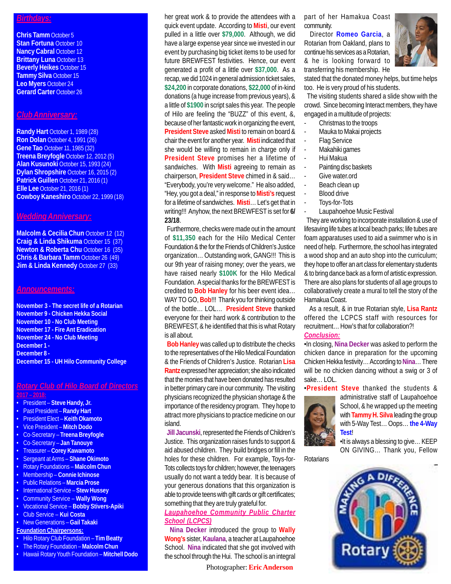#### *Birthdays:*

**Chris Tamm** October 5 **Stan Fortuna** October 10 **Nancy Cabral October 12 Brittany Luna** October 13 **Beverly Heikes** October 15 **Tammy Silva** October 15 **Leo Myers** October 24 **Gerard Carter** October 26

#### *Club Anniversary:*

**Randy Hart** October 1, 1989 (28) **Ron Dolan** October 4, 1991 (26) **Gene Tao** October 11, 1985 (32) **Treena Breyfogle** October 12, 2012 (5) **Alan Kusunoki** October 15, 1993 (24) **Dylan Shropshire** October 16, 2015 (2) **Patrick Guillen** October 21, 2016 (1) **Elle Lee** October 21, 2016 (1) **Cowboy Kaneshiro** October 22, 1999 (18)

#### *Wedding Anniversary:*

**Malcolm & Cecilia Chun October 12 (12) Craig & Linda Shikuma** October 15 (37) **Newton & Roberta Chu** October 16 (35) **Chris & Barbara Tamm** October 26 (49) **Jim & Linda Kennedy October 27 (33)** 

#### *Announcements:*

**November 3 - The secret life of a Rotarian November 9 - Chicken Hekka Social November 10 - No Club Meeting November 17 - Fire Ant Eradication November 24 - No Club Meeting December 1 - December 8 - December 15 - UH Hilo Community College**

## *Rotary Club of Hilo Board of Directors*

- **2017 2018:**
- President **Steve Handy, Jr.**
- Past President **Randy Hart**
- President Elect **Keith Okamoto**
- Vice President **Mitch Dodo**
- Co-Secretary **Treena Breyfogle**
- Co-Secretary **Jan Tanouye**
- Treasurer **Corey Kawamoto**
- Sergeant at Arms **Shane Okimoto**
- Rotary Foundations **Malcolm Chun**
- Membership **Connie Ichinose** • Public Relations – **Marcia Prose**
- 
- International Service **Stew Hussey**
- Community Service **Wally Wong** • Vocational Service – **Bobby Stivers-Apiki**
- Club Service **Kui Costa**
- New Generations **Gail Takaki**
- **Foundation Chairpersons:**
- Hilo Rotary Club Foundation **Tim Beatty**
- The Rotary Foundation **Malcolm Chun**
- Hawaii Rotary Youth Foundation **Mitchell Dodo**

her great work & to provide the attendees with a quick event update. According to **Misti**, our event pulled in a little over **\$79,000**. Although, we did have a large expense year since we invested in our event by purchasing big ticket items to be used for future BREWFEST festivities. Hence, our event generated a profit of a little over **\$37,000**. As a recap, we did 1024 in general admission ticket sales, **\$24,200** in corporate donations, **\$22,000** of in-kind donations (a huge increase from previous years), & a little of **\$1900** in script sales this year. The people of Hilo are feeling the "BUZZ" of this event, &, because of her fantastic work in organizing the event, **President Steve** asked **Misti** to remain on board & chair the event for another year. **Misti** indicated that she would be willing to remain in charge only if **President Steve** promises her a lifetime of sandwiches. With **Misti** agreeing to remain as chairperson, **President Steve** chimed in & said… "Everybody, you're very welcome." He also added, "Hey, you got a deal," in response to **Misti's** request for a lifetime of sandwiches. **Misti**… Let's get that in writing!!! Anyhow, the next BREWFEST is set for **6/ 23/18**.

 Furthermore, checks were made out in the amount of **\$11,350** each for the Hilo Medical Center Foundation & the for the Friends of Children's Justice organization… Outstanding work, GANG!!! This is our 9th year of raising money; over the years, we have raised nearly **\$100K** for the Hilo Medical Foundation. A special thanks for the BREWFEST is credited to **Bob Hanley** for his beer event idea… WAY TO GO, **Bob**!!! Thank you for thinking outside of the bottle… LOL… **President Steve** thanked everyone for their hard work & contribution to the BREWFEST, & he identified that this is what Rotary is all about.

 **Bob Hanley** was called up to distribute the checks to the representatives of the Hilo Medical Foundation & the Friends of Children's Justice. Rotarian **Lisa Rantz** expressed her appreciation; she also indicated that the monies that have been donated has resulted in better primary care in our community. The visiting physicians recognized the physician shortage & the importance of the residency program. They hope to attract more physicians to practice medicine on our island.

 **Jill Jacunski**, represented the Friends of Children's Justice. This organization raises funds to support & aid abused children. They build bridges or fill in the holes for these children. For example, Toys-for-Tots collects toys for children; however, the teenagers usually do not want a teddy bear. It is because of your generous donations that this organization is able to provide teens with gift cards or gift certificates; something that they are truly grateful for.

#### *Laupahoehoe Community Public Charter School (LCPCS)*

 **Nina Decker** introduced the group to **Wally Wong's** sister, **Kaulana**, a teacher at Laupahoehoe School. **Nina** indicated that she got involved with the school through the Hui. The school is an integral

Photographer: **Eric Anderson**

part of her Hamakua Coast community.

 Director **Romeo Garcia**, a Rotarian from Oakland, plans to continue his services as a Rotarian, & he is looking forward to transferring his membership. He



stated that the donated money helps, but time helps too. He is very proud of his students.

 The visiting students shared a slide show with the crowd. Since becoming Interact members, they have engaged in a multitude of projects:

- Christmas to the troops
- Mauka to Makai projects
- **Flag Service**
- Makahiki games
- Hui Makua
- Painting disc baskets
- Give water.ord
- Beach clean up
- Blood drive
- Toys-for-Tots
- Laupahoehoe Music Festival

 They are working to incorporate installation & use of lifesaving life tubes at local beach parks; life tubes are foam apparatuses used to aid a swimmer who is in need of help. Furthermore, the school has integrated a wood shop and an auto shop into the curriculum; they hope to offer an art class for elementary students & to bring dance back as a form of artistic expression. There are also plans for students of all age groups to collaboratively create a mural to tell the story of the Hamakua Coast.

 As a result, & in true Rotarian style, **Lisa Rantz** offered the LCPCS staff with resources for recruitment… How's that for collaboration?!

### *Conclusion:*

•In closing, **Nina Decker** was asked to perform the chicken dance in preparation for the upcoming Chicken Hekka festivity… According to **Nina**… There will be no chicken dancing without a swig or 3 of sake… LOL.

•**President Steve** thanked the students &



administrative staff of Laupahoehoe School, & he wrapped up the meeting with **Tammy H. Silva** leading the group with 5-Way Test… Oops… **the 4-Way Test**!

•It is always a blessing to give… KEEP ON GIVING… Thank you, Fellow

**Rotarians** 

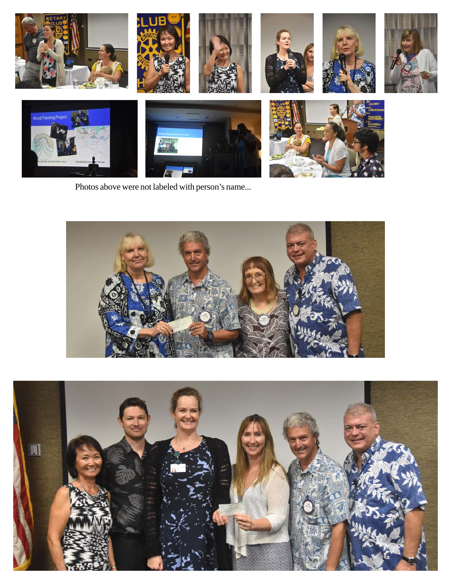

Photos above were not labeled with person's name...